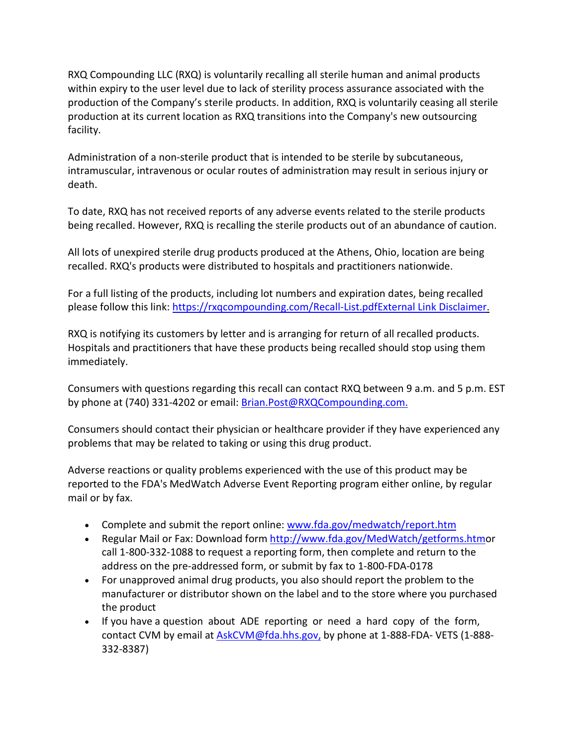within expiry to the user level due to lack of sterility process assurance associated with the RXQ Compounding LLC (RXQ) is voluntarily recalling all sterile human and animal products production of the Company's sterile products. In addition, RXQ is voluntarily ceasing all sterile production at its current location as RXQ transitions into the Company's new outsourcing facility.

Administration of a non-sterile product that is intended to be sterile by subcutaneous, intramuscular, intravenous or ocular routes of administration may result in serious injury or death.

 To date, RXQ has not received reports of any adverse events related to the sterile products being recalled. However, RXQ is recalling the sterile products out of an abundance of caution.

 recalled. RXQ's products were distributed to hospitals and practitioners nationwide. All lots of unexpired sterile drug products produced at the Athens, Ohio, location are being

For a full listing of the products, including lot numbers and expiration dates, being recalled please follow this link: [https://rxqcompounding.com/Recall-List.pdf](https://urldefense.proofpoint.com/v2/url?u=https-3A__rxqcompounding.com_Recall-2DList.pdf&d=DwMFaQ&c=LHIwbLRMLqgNuqr1uGLfTA&r=2ykM7j3cEyKMbR6Jyy9zHSWNI2CvWOWnZeKnQ2Nqs2w&m=ccLNTXjYw1qyyDaopKpmmwiWeLJVuiV3N3ZTC8DnTqY&s=K1duU5GShT9YMSDPHvA89AbKIYtJIFYvNXCI2NIXzyo&e=)[External Link Disclaimer.](https://urldefense.proofpoint.com/v2/url?u=http-3A__www.fda.gov_about-2Dfda_website-2Dpolicies_website-2Ddisclaimer&d=DwMFaQ&c=LHIwbLRMLqgNuqr1uGLfTA&r=2ykM7j3cEyKMbR6Jyy9zHSWNI2CvWOWnZeKnQ2Nqs2w&m=ccLNTXjYw1qyyDaopKpmmwiWeLJVuiV3N3ZTC8DnTqY&s=4bGNRVszDZGyZ2uL8e60sUWRVtOGqEHoVpEclOc0nkY&e=)

 RXQ is notifying its customers by letter and is arranging for return of all recalled products. Hospitals and practitioners that have these products being recalled should stop using them immediately.

 Consumers with questions regarding this recall can contact RXQ between 9 a.m. and 5 p.m. EST by phone at (740) 331-4202 or email: [Brian.Post@RXQCompounding.com.](mailto:Brian.Post@RXQCompounding.com) 

Consumers should contact their physician or healthcare provider if they have experienced any problems that may be related to taking or using this drug product.

 Adverse reactions or quality problems experienced with the use of this product may be reported to the FDA's MedWatch Adverse Event Reporting program either online, by regular mail or by fax.

- Complete and submit the report online: [www.fda.gov/medwatch/report.htm](https://urldefense.proofpoint.com/v2/url?u=http-3A__www.fda.gov_medwatch_report.htm&d=DwMFaQ&c=LHIwbLRMLqgNuqr1uGLfTA&r=2ykM7j3cEyKMbR6Jyy9zHSWNI2CvWOWnZeKnQ2Nqs2w&m=ccLNTXjYw1qyyDaopKpmmwiWeLJVuiV3N3ZTC8DnTqY&s=nxJ7s4M5XJzEF2C2xbbskFsFD2ROBuHqgjB9d6UCexQ&e=)
- address on the pre-addressed form, or submit by fax to 1-800-FDA-0178 • Regular Mail or Fax: Download form [http://www.fda.gov/MedWatch/getforms.htmo](https://urldefense.proofpoint.com/v2/url?u=http-3A__www.fda.gov_MedWatch_getforms.htm&d=DwMFaQ&c=LHIwbLRMLqgNuqr1uGLfTA&r=2ykM7j3cEyKMbR6Jyy9zHSWNI2CvWOWnZeKnQ2Nqs2w&m=ccLNTXjYw1qyyDaopKpmmwiWeLJVuiV3N3ZTC8DnTqY&s=5QboHk3HOOQ4dvm1ngqE6ZsMsCYcVIW9u0RxzBkBGyg&e=)r call 1-800-332-1088 to request a reporting form, then complete and return to the
- • For unapproved animal drug products, you also should report the problem to the manufacturer or distributor shown on the label and to the store where you purchased the product
- • If you have a question about ADE reporting or need a hard copy of the form, contact CVM by email at **AskCVM@fda.hhs.gov**, by phone at 1-888-FDA-VETS (1-888-332-8387)